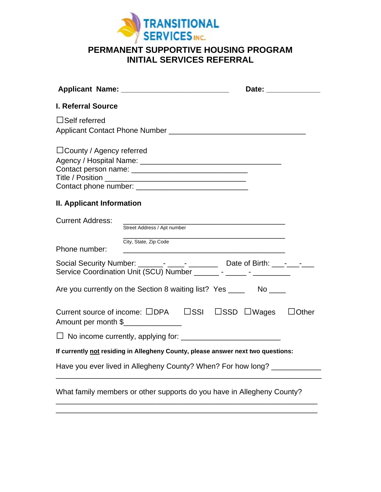

## **PERMANENT SUPPORTIVE HOUSING PROGRAM INITIAL SERVICES REFERRAL**

|                                                                                                                                                          | Date: ______________ |
|----------------------------------------------------------------------------------------------------------------------------------------------------------|----------------------|
| <b>I. Referral Source</b>                                                                                                                                |                      |
| $\Box$ Self referred                                                                                                                                     |                      |
| $\Box$ County / Agency referred                                                                                                                          |                      |
| II. Applicant Information                                                                                                                                |                      |
| <b>Current Address:</b><br>Street Address / Apt number                                                                                                   |                      |
| City, State, Zip Code<br>Phone number:                                                                                                                   |                      |
| Social Security Number: ______- ____- ____________ Date of Birth: ___- ___ -____<br>Service Coordination Unit (SCU) Number ________ - ______ - _________ |                      |
| Are you currently on the Section 8 waiting list? Yes _______ No ____                                                                                     |                      |
| Current source of income: □DPA □SSI □SSD □Wages<br>Amount per month \$                                                                                   | $\Box$ Other         |
|                                                                                                                                                          |                      |
| If currently not residing in Allegheny County, please answer next two questions:                                                                         |                      |
| Have you ever lived in Allegheny County? When? For how long? _____________                                                                               |                      |
| What family members or other supports do you have in Allegheny County?                                                                                   |                      |

\_\_\_\_\_\_\_\_\_\_\_\_\_\_\_\_\_\_\_\_\_\_\_\_\_\_\_\_\_\_\_\_\_\_\_\_\_\_\_\_\_\_\_\_\_\_\_\_\_\_\_\_\_\_\_\_\_\_\_\_\_\_\_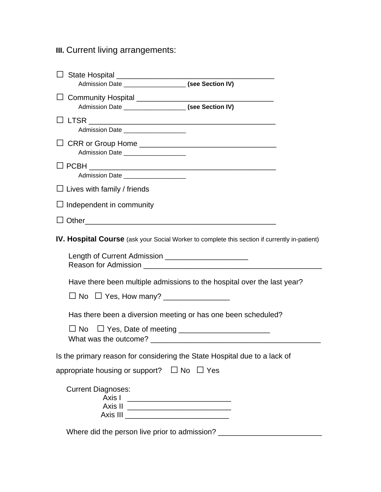## **III.** Current living arrangements:

| Admission Date _______________________ (see Section IV)                                                  |                                                                                                      |
|----------------------------------------------------------------------------------------------------------|------------------------------------------------------------------------------------------------------|
| Admission Date ________________________ (see Section IV)                                                 |                                                                                                      |
| Admission Date ____________________                                                                      |                                                                                                      |
| Admission Date _____________________                                                                     |                                                                                                      |
| Admission Date                                                                                           |                                                                                                      |
| $\Box$ Lives with family / friends                                                                       |                                                                                                      |
| $\Box$ Independent in community                                                                          |                                                                                                      |
|                                                                                                          |                                                                                                      |
|                                                                                                          | <b>IV. Hospital Course</b> (ask your Social Worker to complete this section if currently in-patient) |
|                                                                                                          |                                                                                                      |
|                                                                                                          | Have there been multiple admissions to the hospital over the last year?                              |
|                                                                                                          |                                                                                                      |
| Has there been a diversion meeting or has one been scheduled?                                            |                                                                                                      |
| $\Box$ No $\Box$ Yes, Date of meeting $\Box$ $\Box$ $\Box$ $\Box$ $\Box$ $\Box$<br>What was the outcome? |                                                                                                      |
| Is the primary reason for considering the State Hospital due to a lack of                                |                                                                                                      |
| appropriate housing or support? $\Box$ No $\Box$ Yes                                                     |                                                                                                      |
| <b>Current Diagnoses:</b><br>Axis I                                                                      |                                                                                                      |
|                                                                                                          |                                                                                                      |

Where did the person live prior to admission? \_\_\_\_\_\_\_\_\_\_\_\_\_\_\_\_\_\_\_\_\_\_\_\_\_\_\_\_\_\_\_\_\_\_